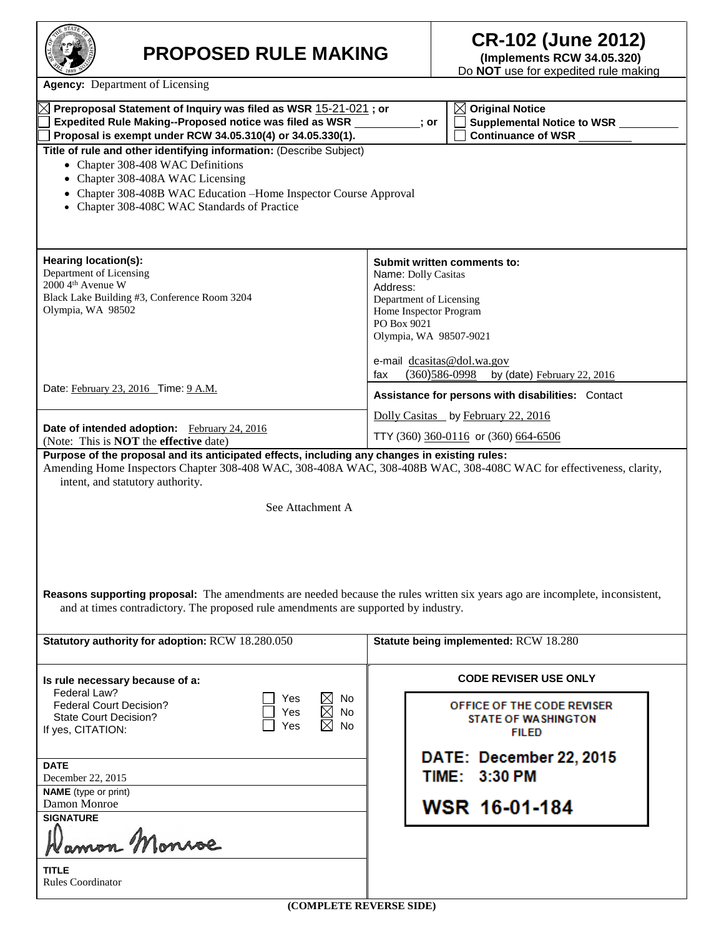| <b>STATE</b><br>r<br>1889 |  |
|---------------------------|--|
|                           |  |

## **PROPOSED RULE MAKING CR-102 (June 2012) (Implements RCW 34.05.320)**

Do **NOT** use for expedited rule making

**Agency:** Department of Licensing

| Preproposal Statement of Inquiry was filed as WSR 15-21-021; or<br>$\boxtimes$ Original Notice                                      |                                                        |  |  |  |
|-------------------------------------------------------------------------------------------------------------------------------------|--------------------------------------------------------|--|--|--|
| Expedited Rule Making--Proposed notice was filed as WSR                                                                             | Supplemental Notice to WSR _________<br>; or           |  |  |  |
| Proposal is exempt under RCW 34.05.310(4) or 34.05.330(1).                                                                          | Continuance of WSR ________                            |  |  |  |
| Title of rule and other identifying information: (Describe Subject)                                                                 |                                                        |  |  |  |
| • Chapter 308-408 WAC Definitions                                                                                                   |                                                        |  |  |  |
| • Chapter 308-408A WAC Licensing                                                                                                    |                                                        |  |  |  |
| Chapter 308-408B WAC Education -Home Inspector Course Approval                                                                      |                                                        |  |  |  |
| • Chapter 308-408C WAC Standards of Practice                                                                                        |                                                        |  |  |  |
|                                                                                                                                     |                                                        |  |  |  |
|                                                                                                                                     |                                                        |  |  |  |
|                                                                                                                                     |                                                        |  |  |  |
| Hearing location(s):                                                                                                                | Submit written comments to:                            |  |  |  |
| Department of Licensing                                                                                                             | Name: Dolly Casitas                                    |  |  |  |
| 2000 4th Avenue W                                                                                                                   | Address:                                               |  |  |  |
| Black Lake Building #3, Conference Room 3204                                                                                        | Department of Licensing                                |  |  |  |
| Olympia, WA 98502                                                                                                                   | Home Inspector Program                                 |  |  |  |
|                                                                                                                                     | PO Box 9021                                            |  |  |  |
|                                                                                                                                     | Olympia, WA 98507-9021                                 |  |  |  |
|                                                                                                                                     |                                                        |  |  |  |
|                                                                                                                                     | e-mail dcasitas@dol.wa.gov                             |  |  |  |
|                                                                                                                                     | $(360)$ 586-0998<br>by (date) February 22, 2016<br>fax |  |  |  |
| Date: February 23, 2016 Time: 9 A.M.                                                                                                | Assistance for persons with disabilities: Contact      |  |  |  |
|                                                                                                                                     | Dolly Casitas by February 22, 2016                     |  |  |  |
| Date of intended adoption: February 24, 2016<br>(Note: This is <b>NOT</b> the effective date)                                       | TTY (360) $360 - 0116$ or (360) 664-6506               |  |  |  |
| Purpose of the proposal and its anticipated effects, including any changes in existing rules:                                       |                                                        |  |  |  |
| Amending Home Inspectors Chapter 308-408 WAC, 308-408A WAC, 308-408B WAC, 308-408C WAC for effectiveness, clarity,                  |                                                        |  |  |  |
| intent, and statutory authority.                                                                                                    |                                                        |  |  |  |
|                                                                                                                                     |                                                        |  |  |  |
| See Attachment A                                                                                                                    |                                                        |  |  |  |
|                                                                                                                                     |                                                        |  |  |  |
|                                                                                                                                     |                                                        |  |  |  |
|                                                                                                                                     |                                                        |  |  |  |
|                                                                                                                                     |                                                        |  |  |  |
|                                                                                                                                     |                                                        |  |  |  |
|                                                                                                                                     |                                                        |  |  |  |
| <b>Reasons supporting proposal:</b> The amendments are needed because the rules written six years ago are incomplete, inconsistent, |                                                        |  |  |  |
| and at times contradictory. The proposed rule amendments are supported by industry.                                                 |                                                        |  |  |  |
|                                                                                                                                     |                                                        |  |  |  |
| Statutory authority for adoption: RCW 18.280.050                                                                                    | Statute being implemented: RCW 18.280                  |  |  |  |
|                                                                                                                                     |                                                        |  |  |  |
|                                                                                                                                     | <b>CODE REVISER USE ONLY</b>                           |  |  |  |
| Is rule necessary because of a:<br>Federal Law?                                                                                     |                                                        |  |  |  |
| $\boxtimes$<br><b>No</b><br>Yes<br><b>Federal Court Decision?</b>                                                                   | OFFICE OF THE CODE REVISER                             |  |  |  |
| $\boxtimes$<br><b>No</b><br>Yes<br><b>State Court Decision?</b>                                                                     | <b>STATE OF WASHINGTON</b>                             |  |  |  |
| <b>No</b><br>Yes<br>If yes, CITATION:                                                                                               | FIL ED                                                 |  |  |  |
|                                                                                                                                     |                                                        |  |  |  |
|                                                                                                                                     | DATE: December 22, 2015                                |  |  |  |
| <b>DATE</b>                                                                                                                         |                                                        |  |  |  |
| December 22, 2015                                                                                                                   | TIME: 3:30 PM                                          |  |  |  |
| <b>NAME</b> (type or print)                                                                                                         |                                                        |  |  |  |
| Damon Monroe                                                                                                                        | WSR 16-01-184                                          |  |  |  |
| <b>SIGNATURE</b>                                                                                                                    |                                                        |  |  |  |
| amon Monroe                                                                                                                         |                                                        |  |  |  |
|                                                                                                                                     |                                                        |  |  |  |
| <b>TITLE</b>                                                                                                                        |                                                        |  |  |  |
| <b>Rules Coordinator</b>                                                                                                            |                                                        |  |  |  |
|                                                                                                                                     |                                                        |  |  |  |